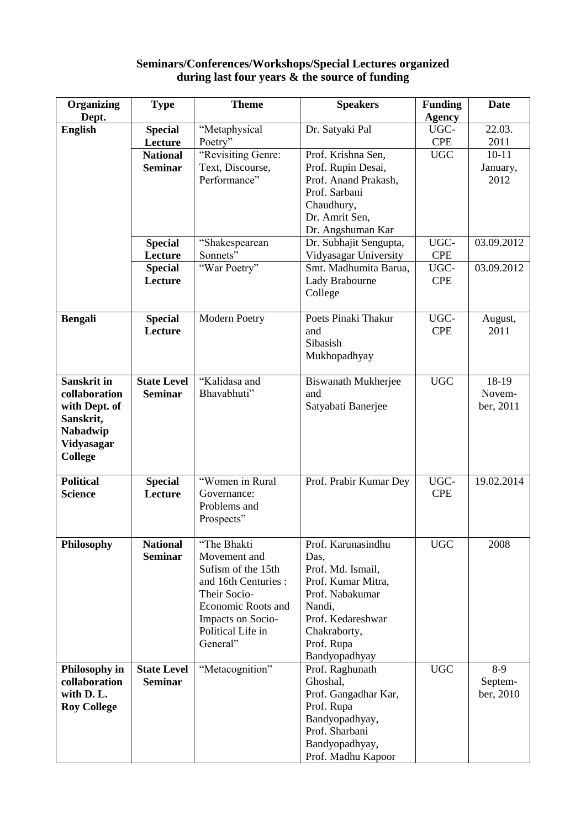## **Seminars/Conferences/Workshops/Special Lectures organized during last four years & the source of funding**

| Organizing         | <b>Type</b>               | <b>Theme</b>                     | <b>Speakers</b>                            | <b>Funding</b>     | Date             |
|--------------------|---------------------------|----------------------------------|--------------------------------------------|--------------------|------------------|
| Dept.              |                           |                                  |                                            | <b>Agency</b>      |                  |
| <b>English</b>     | <b>Special</b><br>Lecture | "Metaphysical                    | Dr. Satyaki Pal                            | UGC-<br><b>CPE</b> | 22.03.<br>2011   |
|                    | <b>National</b>           | Poetry"                          | Prof. Krishna Sen,                         | <b>UGC</b>         | $10 - 11$        |
|                    | <b>Seminar</b>            | "Revisiting Genre:               |                                            |                    |                  |
|                    |                           | Text, Discourse,<br>Performance" | Prof. Rupin Desai,<br>Prof. Anand Prakash, |                    | January,<br>2012 |
|                    |                           |                                  | Prof. Sarbani                              |                    |                  |
|                    |                           |                                  |                                            |                    |                  |
|                    |                           |                                  | Chaudhury,<br>Dr. Amrit Sen,               |                    |                  |
|                    |                           |                                  | Dr. Angshuman Kar                          |                    |                  |
|                    |                           |                                  |                                            | UGC-               | 03.09.2012       |
|                    | <b>Special</b>            | "Shakespearean                   | Dr. Subhajit Sengupta,                     |                    |                  |
|                    | Lecture                   | Sonnets"                         | Vidyasagar University                      | <b>CPE</b>         |                  |
|                    | <b>Special</b>            | "War Poetry"                     | Smt. Madhumita Barua,                      | UGC-               | 03.09.2012       |
|                    | Lecture                   |                                  | Lady Brabourne                             | <b>CPE</b>         |                  |
|                    |                           |                                  | College                                    |                    |                  |
|                    |                           |                                  | Poets Pinaki Thakur                        | UGC-               |                  |
| <b>Bengali</b>     | <b>Special</b><br>Lecture | <b>Modern Poetry</b>             | and                                        | <b>CPE</b>         | August,<br>2011  |
|                    |                           |                                  | Sibasish                                   |                    |                  |
|                    |                           |                                  |                                            |                    |                  |
|                    |                           |                                  | Mukhopadhyay                               |                    |                  |
| <b>Sanskrit in</b> | <b>State Level</b>        | "Kalidasa and                    | <b>Biswanath Mukherjee</b>                 | <b>UGC</b>         | 18-19            |
| collaboration      | <b>Seminar</b>            | Bhavabhuti"                      | and                                        |                    | Novem-           |
| with Dept. of      |                           |                                  | Satyabati Banerjee                         |                    | ber, 2011        |
| Sanskrit,          |                           |                                  |                                            |                    |                  |
| Nabadwip           |                           |                                  |                                            |                    |                  |
| Vidyasagar         |                           |                                  |                                            |                    |                  |
| <b>College</b>     |                           |                                  |                                            |                    |                  |
|                    |                           |                                  |                                            |                    |                  |
| <b>Political</b>   | <b>Special</b>            | "Women in Rural                  | Prof. Prabir Kumar Dey                     | UGC-               | 19.02.2014       |
| <b>Science</b>     | Lecture                   | Governance:                      |                                            | <b>CPE</b>         |                  |
|                    |                           | Problems and                     |                                            |                    |                  |
|                    |                           | Prospects"                       |                                            |                    |                  |
|                    |                           |                                  |                                            |                    |                  |
| Philosophy         | <b>National</b>           | "The Bhakti                      | Prof. Karunasindhu                         | <b>UGC</b>         | 2008             |
|                    | <b>Seminar</b>            | Movement and                     | Das,                                       |                    |                  |
|                    |                           | Sufism of the 15th               | Prof. Md. Ismail,                          |                    |                  |
|                    |                           | and 16th Centuries :             | Prof. Kumar Mitra,                         |                    |                  |
|                    |                           | Their Socio-                     | Prof. Nabakumar                            |                    |                  |
|                    |                           | <b>Economic Roots and</b>        | Nandi,                                     |                    |                  |
|                    |                           | Impacts on Socio-                | Prof. Kedareshwar                          |                    |                  |
|                    |                           | Political Life in                | Chakraborty,                               |                    |                  |
|                    |                           | General"                         | Prof. Rupa                                 |                    |                  |
|                    |                           |                                  | Bandyopadhyay                              |                    |                  |
| Philosophy in      | <b>State Level</b>        | "Metacognition"                  | Prof. Raghunath                            | <b>UGC</b>         | $8-9$            |
| collaboration      | <b>Seminar</b>            |                                  | Ghoshal,                                   |                    | Septem-          |
| with D. L.         |                           |                                  | Prof. Gangadhar Kar,                       |                    | ber, 2010        |
| <b>Roy College</b> |                           |                                  | Prof. Rupa                                 |                    |                  |
|                    |                           |                                  | Bandyopadhyay,                             |                    |                  |
|                    |                           |                                  | Prof. Sharbani                             |                    |                  |
|                    |                           |                                  | Bandyopadhyay,                             |                    |                  |
|                    |                           |                                  | Prof. Madhu Kapoor                         |                    |                  |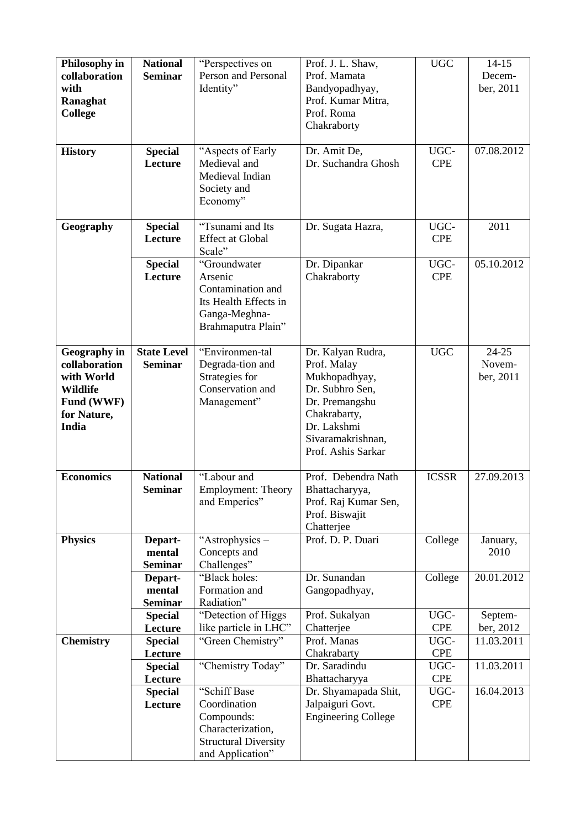| Philosophy in<br>collaboration                                                                       | <b>National</b><br><b>Seminar</b>    | "Perspectives on<br>Person and Personal                                                                            | Prof. J. L. Shaw,<br>Prof. Mamata                                                                                                                                | <b>UGC</b>         | $14 - 15$<br>Decem-              |
|------------------------------------------------------------------------------------------------------|--------------------------------------|--------------------------------------------------------------------------------------------------------------------|------------------------------------------------------------------------------------------------------------------------------------------------------------------|--------------------|----------------------------------|
| with<br>Ranaghat<br><b>College</b>                                                                   |                                      | Identity"                                                                                                          | Bandyopadhyay,<br>Prof. Kumar Mitra,<br>Prof. Roma<br>Chakraborty                                                                                                |                    | ber, 2011                        |
| <b>History</b>                                                                                       | <b>Special</b><br>Lecture            | "Aspects of Early<br>Medieval and<br>Medieval Indian<br>Society and<br>Economy"                                    | Dr. Amit De,<br>Dr. Suchandra Ghosh                                                                                                                              | UGC-<br><b>CPE</b> | 07.08.2012                       |
| Geography                                                                                            | <b>Special</b><br>Lecture            | "Tsunami and Its<br><b>Effect at Global</b><br>Scale"                                                              | Dr. Sugata Hazra,                                                                                                                                                | UGC-<br><b>CPE</b> | 2011                             |
|                                                                                                      | <b>Special</b><br>Lecture            | "Groundwater<br>Arsenic<br>Contamination and<br>Its Health Effects in<br>Ganga-Meghna-<br>Brahmaputra Plain"       | Dr. Dipankar<br>Chakraborty                                                                                                                                      | UGC-<br><b>CPE</b> | 05.10.2012                       |
| <b>Geography</b> in<br>collaboration<br>with World<br>Wildlife<br>Fund (WWF)<br>for Nature,<br>India | <b>State Level</b><br><b>Seminar</b> | "Environmen-tal<br>Degrada-tion and<br>Strategies for<br>Conservation and<br>Management"                           | Dr. Kalyan Rudra,<br>Prof. Malay<br>Mukhopadhyay,<br>Dr. Subhro Sen,<br>Dr. Premangshu<br>Chakrabarty,<br>Dr. Lakshmi<br>Sivaramakrishnan,<br>Prof. Ashis Sarkar | <b>UGC</b>         | $24 - 25$<br>Novem-<br>ber, 2011 |
| <b>Economics</b>                                                                                     | <b>National</b><br><b>Seminar</b>    | "Labour and<br><b>Employment: Theory</b><br>and Emperics"                                                          | Prof. Debendra Nath<br>Bhattacharyya,<br>Prof. Raj Kumar Sen,<br>Prof. Biswajit<br>Chatterjee                                                                    | <b>ICSSR</b>       | 27.09.2013                       |
| <b>Physics</b>                                                                                       | Depart-<br>mental<br><b>Seminar</b>  | "Astrophysics –<br>Concepts and<br>Challenges"                                                                     | Prof. D. P. Duari                                                                                                                                                | College            | January,<br>2010                 |
|                                                                                                      | Depart-<br>mental<br><b>Seminar</b>  | "Black holes:<br>Formation and<br>Radiation"                                                                       | Dr. Sunandan<br>Gangopadhyay,                                                                                                                                    | College            | 20.01.2012                       |
|                                                                                                      | <b>Special</b>                       | "Detection of Higgs                                                                                                | Prof. Sukalyan                                                                                                                                                   | UGC-<br><b>CPE</b> | Septem-                          |
| <b>Chemistry</b>                                                                                     | Lecture<br><b>Special</b>            | like particle in LHC"<br>"Green Chemistry"                                                                         | Chatterjee<br>Prof. Manas                                                                                                                                        | UGC-               | ber, 2012<br>11.03.2011          |
|                                                                                                      | Lecture                              |                                                                                                                    | Chakrabarty                                                                                                                                                      | <b>CPE</b>         |                                  |
|                                                                                                      | <b>Special</b>                       | "Chemistry Today"                                                                                                  | Dr. Saradindu                                                                                                                                                    | UGC-               | 11.03.2011                       |
|                                                                                                      | Lecture                              |                                                                                                                    | Bhattacharyya                                                                                                                                                    | <b>CPE</b>         |                                  |
|                                                                                                      | <b>Special</b><br>Lecture            | "Schiff Base<br>Coordination<br>Compounds:<br>Characterization,<br><b>Structural Diversity</b><br>and Application" | Dr. Shyamapada Shit,<br>Jalpaiguri Govt.<br><b>Engineering College</b>                                                                                           | UGC-<br><b>CPE</b> | 16.04.2013                       |